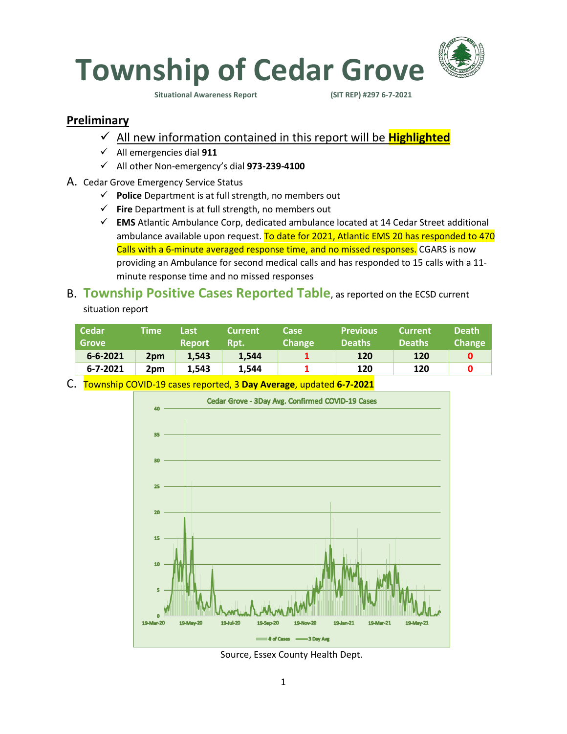

**Situational Awareness Report (SIT REP) #297 6-7-2021** 

#### **Preliminary**

- ✓ All new information contained in this report will be **Highlighted**
- ✓ All emergencies dial **911**
- ✓ All other Non-emergency's dial **973-239-4100**
- A. Cedar Grove Emergency Service Status
	- ✓ **Police** Department is at full strength, no members out
	- ✓ **Fire** Department is at full strength, no members out
	- ✓ **EMS** Atlantic Ambulance Corp, dedicated ambulance located at 14 Cedar Street additional ambulance available upon request. To date for 2021, Atlantic EMS 20 has responded to 470 Calls with a 6-minute averaged response time, and no missed responses. CGARS is now providing an Ambulance for second medical calls and has responded to 15 calls with a 11 minute response time and no missed responses

### B. **Township Positive Cases Reported Table**, as reported on the ECSD current situation report

| Cedar<br><b>Grove</b> | Time            | Last<br><b>Report</b> | <b>Current</b><br>Rpt. | Case<br><b>Change</b> | <b>Previous</b><br><b>Deaths</b> | <b>Current</b><br><b>Deaths</b> | <b>Death</b><br><b>Change</b> |
|-----------------------|-----------------|-----------------------|------------------------|-----------------------|----------------------------------|---------------------------------|-------------------------------|
| $6 - 6 - 2021$        | 2 <sub>pm</sub> | 1.543                 | 1.544                  |                       | 120                              | 120                             |                               |
| 6-7-2021              | 2pm             | 1.543                 | 1.544                  |                       | 120                              | 120                             |                               |

C. Township COVID-19 cases reported, 3 **Day Average**, updated **6-7-2021**



Source, Essex County Health Dept.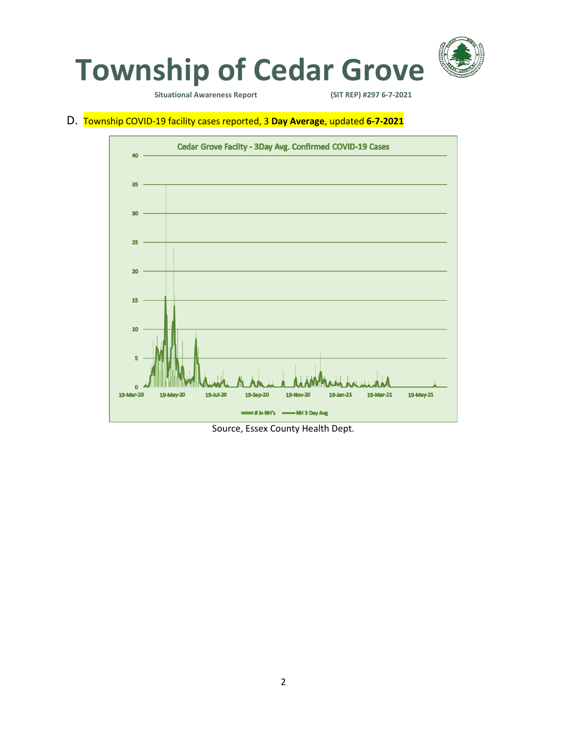

**Situational Awareness Report** 

D. Township COVID-19 facility cases reported, 3 **Day Average**, updated **6-7-2021**



Source, Essex County Health Dept.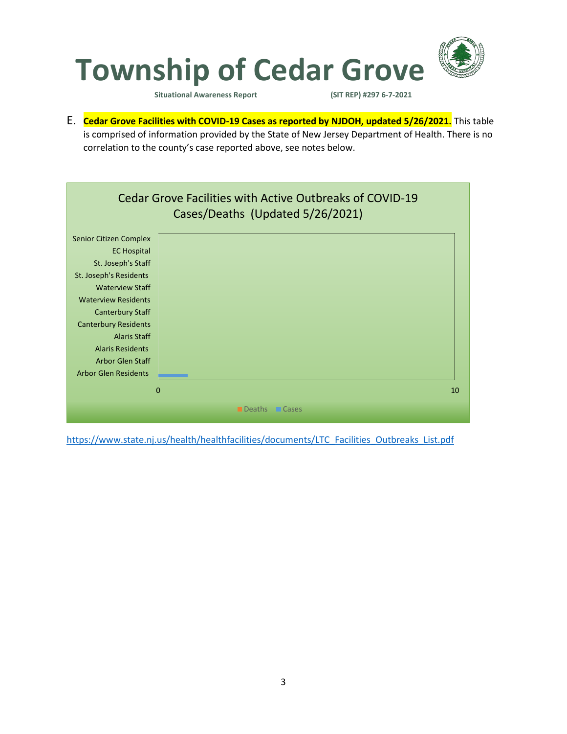![](_page_2_Picture_0.jpeg)

**Situational Awareness Report (SIT REP) #297 6-7-2021** 

E. **Cedar Grove Facilities with COVID-19 Cases as reported by NJDOH, updated 5/26/2021.** This table is comprised of information provided by the State of New Jersey Department of Health. There is no correlation to the county's case reported above, see notes below.

![](_page_2_Figure_4.jpeg)

[https://www.state.nj.us/health/healthfacilities/documents/LTC\\_Facilities\\_Outbreaks\\_List.pdf](https://www.state.nj.us/health/healthfacilities/documents/LTC_Facilities_Outbreaks_List.pdf)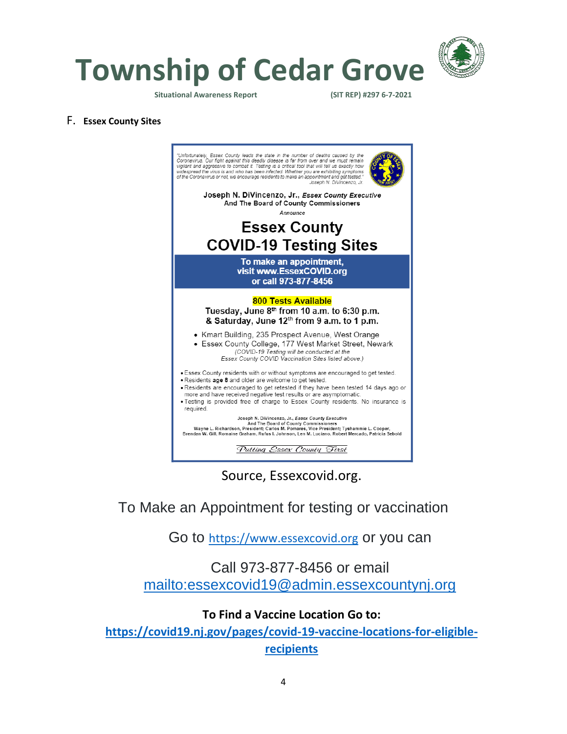![](_page_3_Picture_0.jpeg)

**Township of Cedar Grove**

**Situational Awareness Report (SIT REP) #297 6-7-2021** 

#### F. **Essex County Sites**

![](_page_3_Picture_5.jpeg)

Source, Essexcovid.org.

## To Make an Appointment for testing or vaccination

Go to [https://www.essexcovid.org](https://www.essexcovid.org/) or you can

## Call 973-877-8456 or email <mailto:essexcovid19@admin.essexcountynj.org>

### **To Find a Vaccine Location Go to:**

**[https://covid19.nj.gov/pages/covid-19-vaccine-locations-for-eligible](https://covid19.nj.gov/pages/covid-19-vaccine-locations-for-eligible-recipients)[recipients](https://covid19.nj.gov/pages/covid-19-vaccine-locations-for-eligible-recipients)**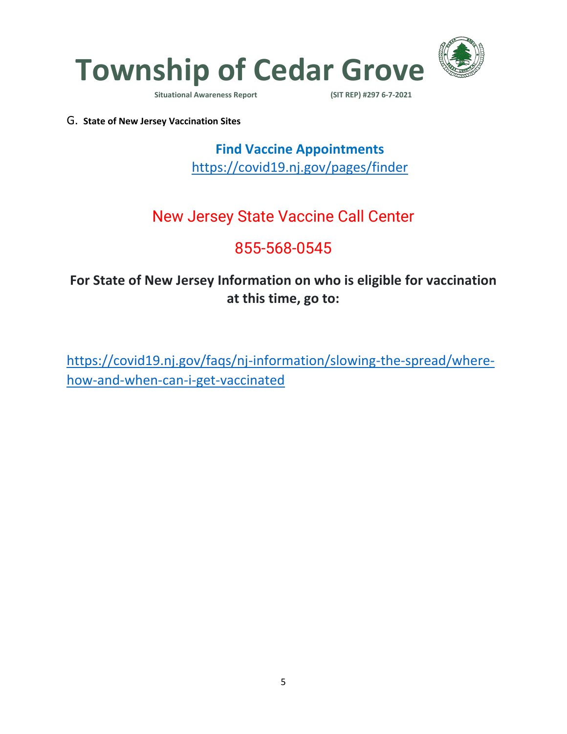![](_page_4_Picture_0.jpeg)

**Situational Awareness Report** 

G. **State of New Jersey Vaccination Sites**

**Find Vaccine Appointments**  <https://covid19.nj.gov/pages/finder>

# New Jersey State Vaccine Call Center

# 855-568-0545

## **For State of New Jersey Information on who is eligible for vaccination at this time, go to:**

[https://covid19.nj.gov/faqs/nj-information/slowing-the-spread/where](https://covid19.nj.gov/faqs/nj-information/slowing-the-spread/where-how-and-when-can-i-get-vaccinated)[how-and-when-can-i-get-vaccinated](https://covid19.nj.gov/faqs/nj-information/slowing-the-spread/where-how-and-when-can-i-get-vaccinated)